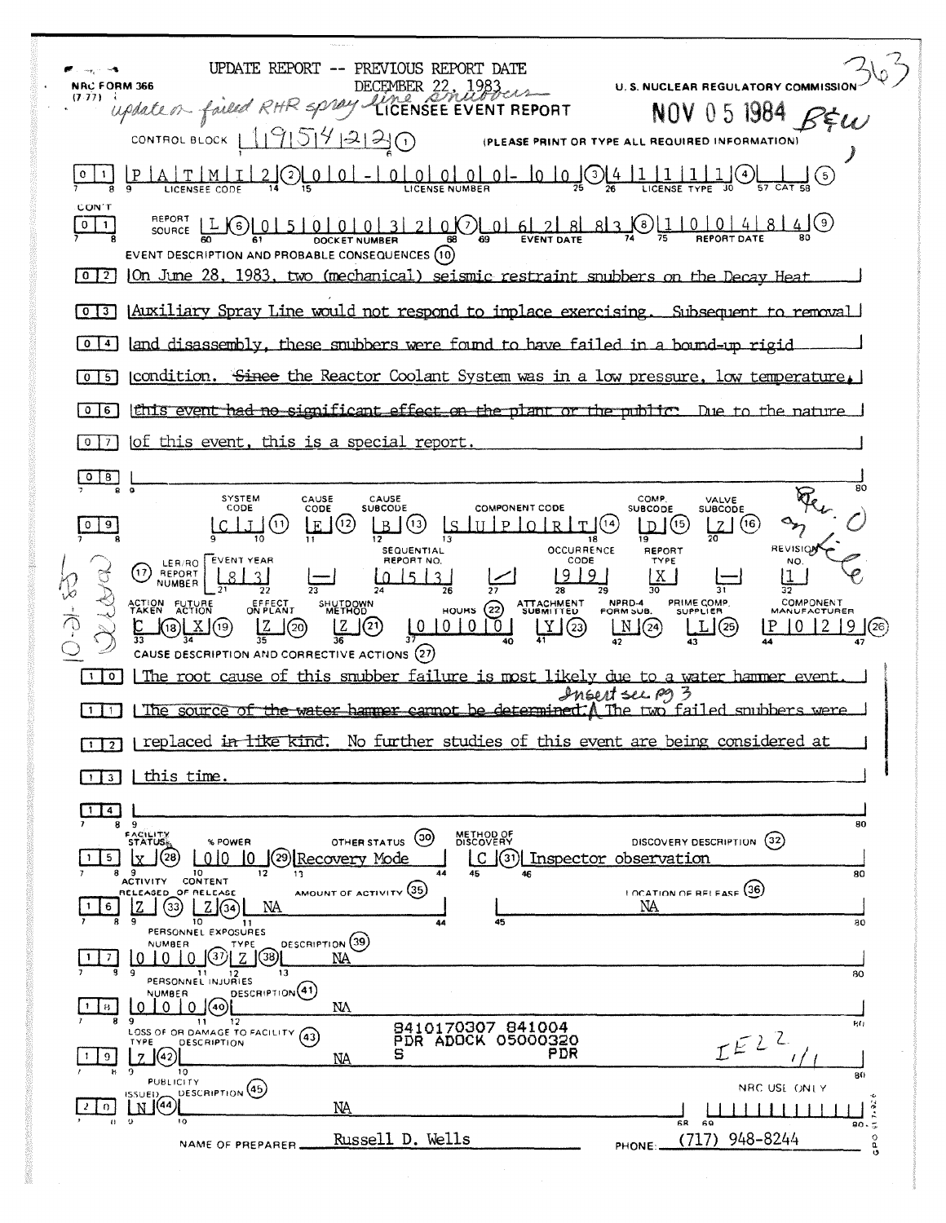| UPDATE REPORT<br>-- PREVIOUS REPORT DATE<br><b>NRC FORM 366</b><br>U. S. NUCLEAR REGULATORY COMMISSIO                                                                                                                                                                                                                                                                                                                                                                                                                                                                                    |
|------------------------------------------------------------------------------------------------------------------------------------------------------------------------------------------------------------------------------------------------------------------------------------------------------------------------------------------------------------------------------------------------------------------------------------------------------------------------------------------------------------------------------------------------------------------------------------------|
| DECEMBER 22, 1983<br>$(7.77)$ i<br>update on forled RHR spray.<br>NOV 05 1984                                                                                                                                                                                                                                                                                                                                                                                                                                                                                                            |
| <u> 11915141212</u><br>CONTROL BLOCK  <br>$\bigcap$<br>(PLEASE PRINT OR TYPE ALL REQUIRED INFORMATION)                                                                                                                                                                                                                                                                                                                                                                                                                                                                                   |
| [5]                                                                                                                                                                                                                                                                                                                                                                                                                                                                                                                                                                                      |
| CON'T<br>REPORT<br>814(9)<br>SOURCE $LL(6)$<br>$\circ$<br>EVENT DESCRIPTION AND PROBABLE CONSEQUENCES (10)<br>On June 28, 1983, two (mechanical) seismic restraint snubbers on the Decay Heat<br>$0 \mid 2 \mid$                                                                                                                                                                                                                                                                                                                                                                         |
| [Auxiliary Spray Line would not respond to implace exercising. Subsequent to removal]<br>$\mathbf{o}$<br>$\begin{array}{c} 3 \end{array}$                                                                                                                                                                                                                                                                                                                                                                                                                                                |
| land disassembly, these snubbers were found to have failed in a bound-up rigid<br>$\mathbf{o}$<br>$\overline{\mathbf{4}}$                                                                                                                                                                                                                                                                                                                                                                                                                                                                |
| condition. Since the Reactor Coolant System was in a low pressure, low temperature,<br>0 <sub>15</sub>                                                                                                                                                                                                                                                                                                                                                                                                                                                                                   |
| this event had no significant effect on the plant or the public. Due to the nature<br>$\circ$<br>6                                                                                                                                                                                                                                                                                                                                                                                                                                                                                       |
| of this event, this is a special report.<br>$\mathbf 0$<br>7                                                                                                                                                                                                                                                                                                                                                                                                                                                                                                                             |
| $^{\circ}$<br>80                                                                                                                                                                                                                                                                                                                                                                                                                                                                                                                                                                         |
| <b>SYSTEM</b><br>CAUSE<br>CAUSE<br>COMP.<br>VALVE<br>CODE<br><b>SUBCODE</b><br><b>COMPONENT CODE</b><br>CODE<br><b>SUBCODE</b><br>SUBCODE<br>(16)<br>(12)<br>(13<br>(11)<br>F.<br>$\mathbf{p}$<br>$\cap$<br>9<br>12<br>19<br>18<br>REVISIO<br><b>OCCURRENCE</b><br><b>SEQUENTIAL</b><br>REPORT                                                                                                                                                                                                                                                                                           |
| REPORT NO.<br>LER/RO EVENT YEAR<br>CODE<br>TYPE<br>NO.<br>(17)<br>REPORT<br>Q<br><b>NUMBER</b><br>28<br>PRIME COMP.<br><b>COMPONENT</b><br>ATTACHMENT<br>SUBMITTED<br>NPRD-4<br>FORM SUB.<br>ACTION FUTURE<br>EFFECT<br>ON PLANT<br>SHUTDOWN<br>HOURS $(22)$<br><b>SUPPLIER</b><br>MANUFACTURER<br>$\sqrt{20}$<br>M(2)<br>$^{(21)}$<br> 0 0 <br>$\sigma$<br>Y(3)<br>L <sub>0</sub><br>L(25)<br>9<br>(18) <u>[X</u> ](19)<br>(26<br>CAUSE DESCRIPTION AND CORRECTIVE ACTIONS (27)<br>The root cause of this snubber failure is most likely due to a water hammer event.<br>$\overline{0}$ |
| Insert ser pg 3<br>The source of the water hammer cannot be determined. A The two failed snubbers were<br>$\mathbf{1}$                                                                                                                                                                                                                                                                                                                                                                                                                                                                   |
| No further studies of this event are being considered at<br>replaced in like kind.<br>$\sqrt{2}$<br>$\mathbf{1}$                                                                                                                                                                                                                                                                                                                                                                                                                                                                         |
| <u>this time.</u><br>1 3                                                                                                                                                                                                                                                                                                                                                                                                                                                                                                                                                                 |
| 4                                                                                                                                                                                                                                                                                                                                                                                                                                                                                                                                                                                        |
| 9<br>80<br>8<br><b>FACILITY</b><br>STATUS <sub>D</sub><br>METHOD OF<br>DISCOVERY<br>$\circ$<br>DISCOVERY DESCRIPTION (32)<br>OTHER STATUS<br>% POWER<br>010<br>(28<br>(29) Recovery Mode<br>$\lfloor C \rfloor$<br>$(3)$ Inspector observation<br>5.                                                                                                                                                                                                                                                                                                                                     |
| 10<br>12<br>44<br>45<br>80<br>ACTIVITY CONTENT<br>AMOUNT OF ACTIVITY (35)<br><b>LOCATION OF RELEASE</b> (36)<br>RELEASED OF RELEASE<br>NA<br>z<br>NA<br>33)<br>6<br>34<br>9                                                                                                                                                                                                                                                                                                                                                                                                              |
| 10<br>45<br>80<br>11<br>44<br>PERSONNEL EXPOSURES<br>DESCRIPTION (39)<br>NUMBER<br>TYPE<br>38.<br>NΑ<br>9<br>13<br>11<br>80<br>12<br>PERSONNEL INJURIES                                                                                                                                                                                                                                                                                                                                                                                                                                  |
| DESCRIPTION(41)<br>NUMBER<br>$\vert$ (40)<br>0.<br>$\Omega$<br>NΑ<br>0<br>-8<br>я<br>-9<br>12<br>11<br>80<br>8410170307 841004<br>LOSS OF OR DAMAGE TO FACILITY (43)                                                                                                                                                                                                                                                                                                                                                                                                                     |
| $IEL^{2}$<br><b>PDR ADOCK 05000320</b><br>DESCRIPTION<br>TYPE<br>PDR<br>s<br>(42)<br>9<br>7<br>NA<br>10<br>9<br>80                                                                                                                                                                                                                                                                                                                                                                                                                                                                       |
| <b>PUBLICITY</b><br>NRC USE ONLY<br>DESCRIPTION <sup>(45)</sup><br>ISSUED,<br>$\frac{1}{2}$<br>(44)<br>NĄ<br>N<br>O.<br>$^{\circ}$<br>10<br>$\mathbf{H}$<br>68<br>69                                                                                                                                                                                                                                                                                                                                                                                                                     |
| 948-8244<br>(717)<br>Russell D. Wells<br>$\circ$<br>NAME OF PREPARER<br>PHONE:                                                                                                                                                                                                                                                                                                                                                                                                                                                                                                           |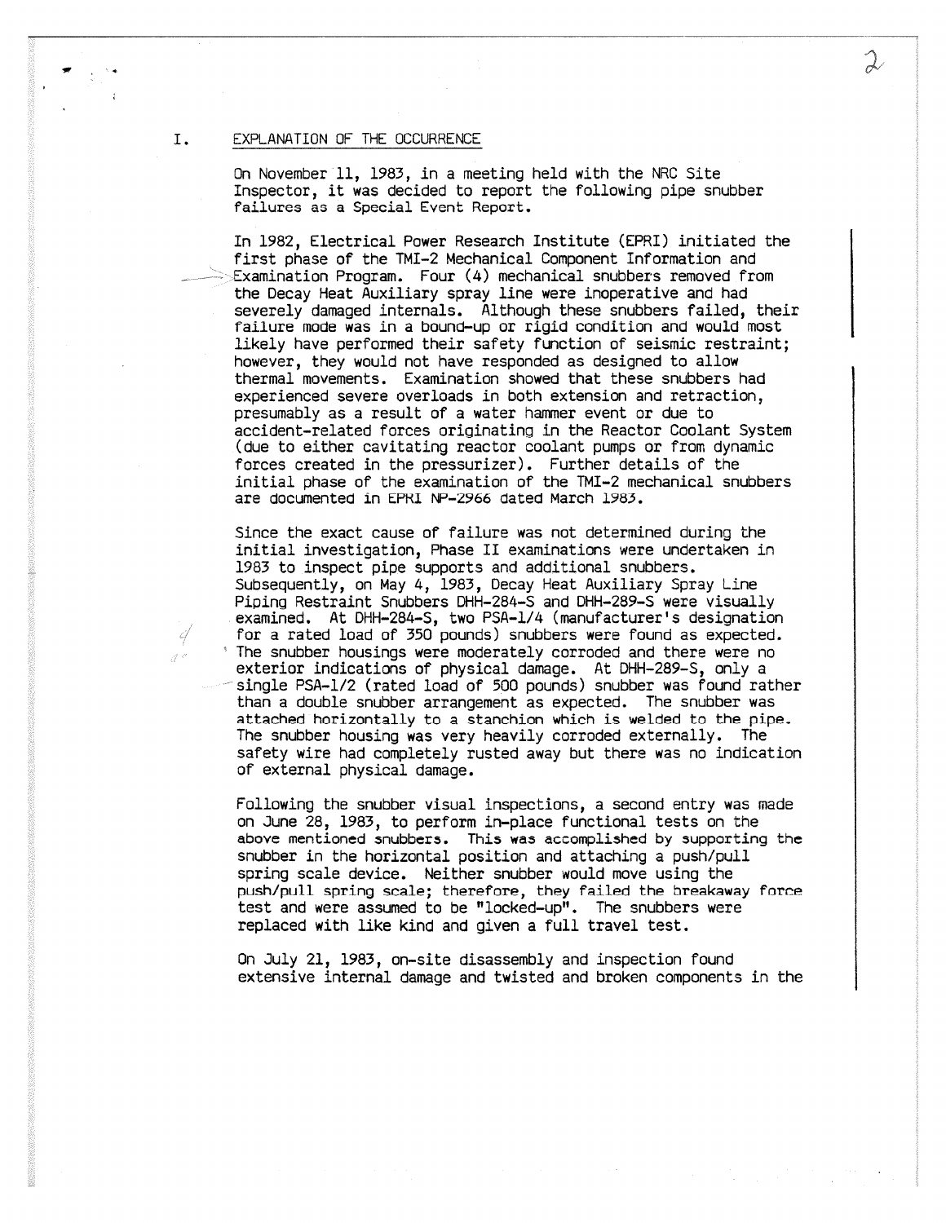#### I. EXPLANATION OF THE OCCURRENCE

On November 11, 1983, in a meeting held with the NRC Site Inspector, it was decided to report the following pipe snubber failures ae a Special Event Report.

In 1982, Electrical Power Research Institute (EPRI) initiated the first phase of the TMI-2 Mechanical Component Information and Examination Program. Four (4) mechanical snubbers removed from the Decay Heat Auxiliary spray line were inoperative and had severely damaged internals. Although these snubbers failed, their failure mode was in a bound-up or rigid condition and would most likely have performed their safety function of seismic restraint; however, they would not have responded as designed to allow thermal movements. Examination showed that these snubbers had experienced severe overloads in both extension and retraction, presumably as a result of a water hammer event or due to accident-related forces originating in the Reactor Coolant System (due to either cavitating reactor coolant pumps or from dynamic forces created in the pressurizer). Further details of the initial phase of the examination of the TMI-2 mechanical snubbers are documented in EPRI NP-2966 dated March 1965.

Since the exact cause of failure was not determined during the initial investigation, Phase II examinations were undertaken in 1983 to inspect pipe supports and additional snubbers. Subsequently, on May 4, 1983, Decay Heat Auxiliary Spray Line Piping Restraint Snubbers DHH-284-S and DHH-289-S were visually examined. At DHH-284-S, two PSA-1/4 (manufacturer's designation for a rated load of 350 pounds) snubbers were found as expected. ' The snubber housings were moderately corroded and there were no exterior indications of physical damage. At DHH-289-S, only a single PSA-1/2 (rated load of 500 pounds) snubber was found rather than a double snubber arrangement as expected. The snubber was attached horizontally to a stanchion which is welded to the pipe. The snubber housing was very heavily corroded externally. The safety wire had completely rusted away but there was no indication of external physical damage.

Following the snubber visual inspections, a second entry was made on June 28, 1983, to perform in-place functional tests on the above mentioned snubbers. This was accomplished by supporting the snubber in the horizontal position and attaching a push/pull spring scale device. Neither snubber would move using the push/pull spring scale; therefore, they failed the breakaway force test and were assumed to be "locked-up". The snubbers were replaced with like kind and given a full travel test.

On July 21, 1983, on-site disassembly and inspection found extensive internal damage and twisted and broken components in the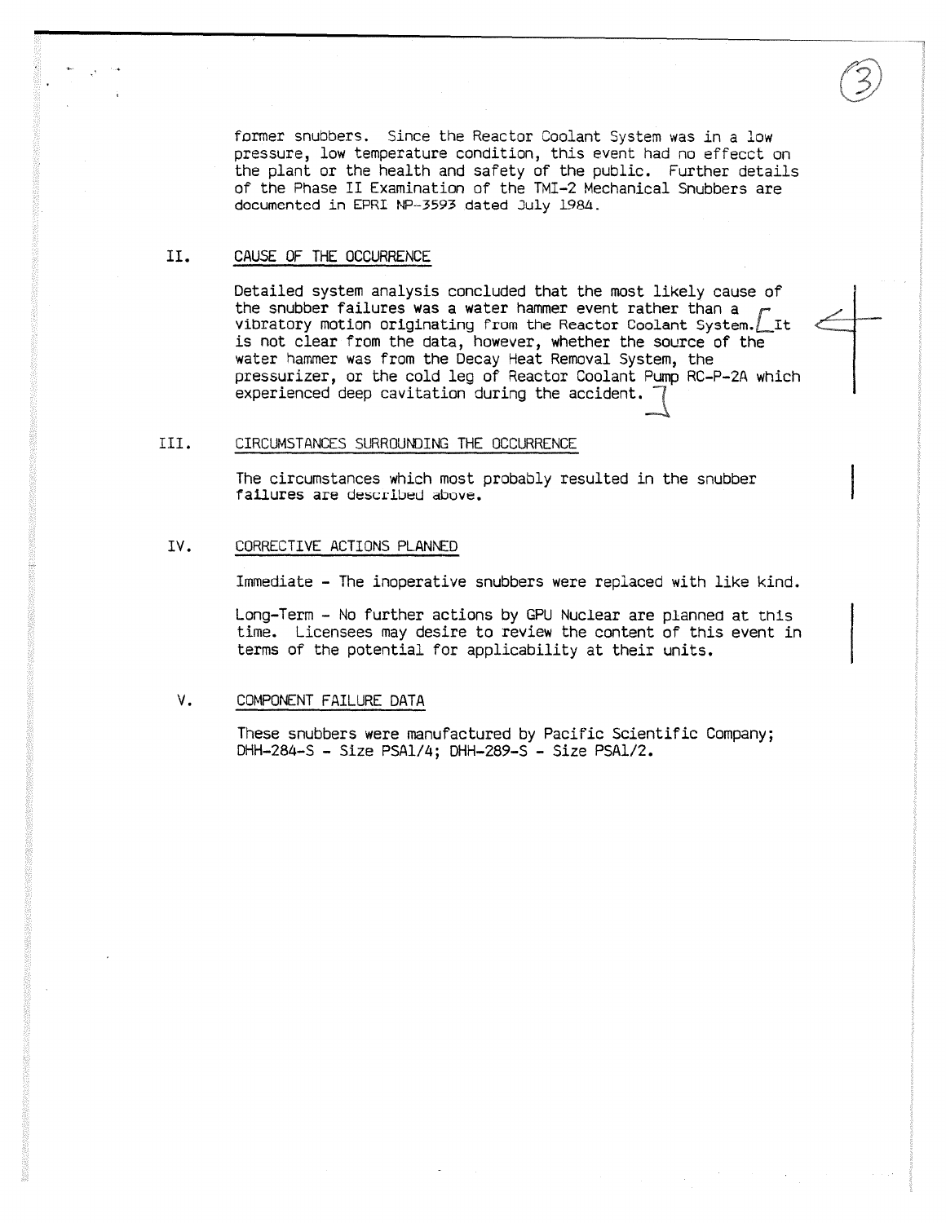former snubbers. Since the Reactor Coolant System was in a low pressure, low temperature condition, this event had no effecct on the plant or the health and safety of the public. Further details of the Phase II Examination of the TMI-2 Mechanical Snubbers are documented in EPRI NP-3593 dated July 1984.

#### II. CAUSE OF THE OCCURRENCE

Detailed system analysis concluded that the most likely cause of the snubber failures was a water hammer event rather than a vibratory motion originating from the Reactor Coolant System. Lit is not clear from the data, however, whether the source of the water hammer was from the Decay Heat Removal System, the pressurizer, or the cold leg of Reactor Coolant Pump RC-P-2A which experienced deep cavitation during the accident.

# III. CIRCUMSTANCES SURROUNDING THE OCCURRENCE

The circumstances which most probably resulted in the snubber failures are described above.

## IV. CORRECTIVE ACTIONS PLANNED

Immediate - The inoperative snubbers were replaced with like kind.

Long-Term - No further actions by GPU Nuclear are planned at this time. Licensees may desire to review the content of this event in terms of the potential for applicability at their units.

# V. COMPONENT FAILURE DATA

These snubbers were manufactured by Pacific Scientific Company; DHH-284-S - Size PSA1/4; DHH-289-S - Size PSA1/2.